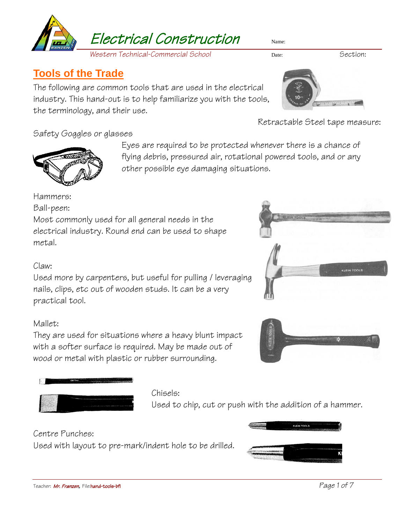

*Western Technical-Commercial School* Date: Section:

# **Tools of the Trade**

The following are common tools that are used in the electrical industry. This hand-out is to help familiarize you with the tools, the terminology, and their use.



Retractable Steel tape measure:

# Safety Goggles or glasses



Eyes are required to be protected whenever there is a chance of flying debris, pressured air, rotational powered tools, and or any other possible eye damaging situations.

Hammers:

Ball-peen:

Most commonly used for all general needs in the electrical industry. Round end can be used to shape metal.

## Claw:

Used more by carpenters, but useful for pulling / leveraging nails, clips, etc out of wooden studs. It can be a very practical tool.

# Mallet:

They are used for situations where a heavy blunt impact with a softer surface is required. May be made out of wood or metal with plastic or rubber surrounding.



## Chisels:

Used to chip, cut or push with the addition of a hammer.

# Centre Punches:

Used with layout to pre-mark/indent hole to be drilled.



KLEIN TOOLS

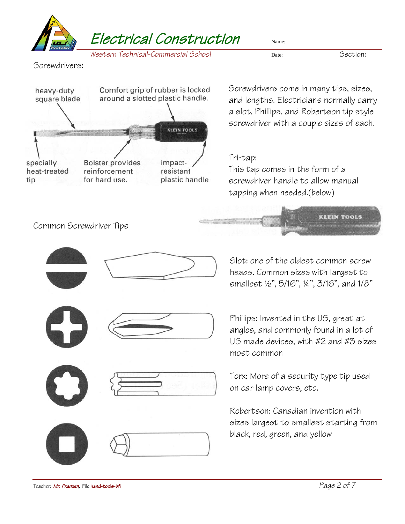

**KLEIN TOOLS** 

Screwdrivers:



Screwdrivers come in many tips, sizes, and lengths. Electricians normally carry a slot, Phillips, and Robertson tip style screwdriver with a couple sizes of each.

# Tri-tap:

This tap comes in the form of a screwdriver handle to allow manual tapping when needed.(below)

Common Screwdriver Tips







Slot: one of the oldest common screw heads. Common sizes with largest to smallest ½", 5/16", ¼", 3/16", and 1/8"

Phillips: Invented in the US, great at angles, and commonly found in a lot of US made devices, with #2 and #3 sizes most common

Torx: More of a security type tip used on car lamp covers, etc.

Robertson: Canadian invention with sizes largest to smallest starting from black, red, green, and yellow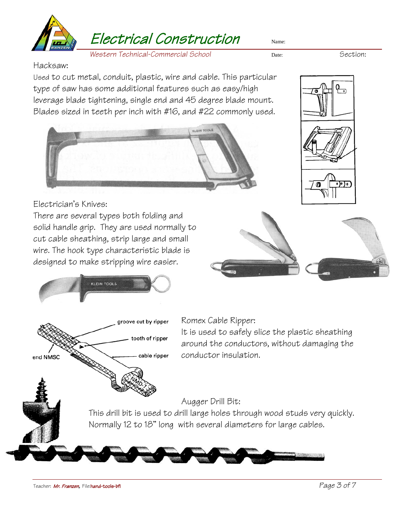

*Western Technical-Commercial School* Date: Section:

Hacksaw:

Used to cut metal, conduit, plastic, wire and cable. This particular type of saw has some additional features such as easy/high leverage blade tightening, single end and 45 degree blade mount. Blades sized in teeth per inch with #16, and #22 commonly used.





Electrician's Knives:

There are several types both folding and solid handle grip. They are used normally to cut cable sheathing, strip large and small wire. The hook type characteristic blade is designed to make stripping wire easier.





Romex Cable Ripper:

It is used to safely slice the plastic sheathing around the conductors, without damaging the conductor insulation.

## Augger Drill Bit:

This drill bit is used to drill large holes through wood studs very quickly. Normally 12 to 18" long with several diameters for large cables.

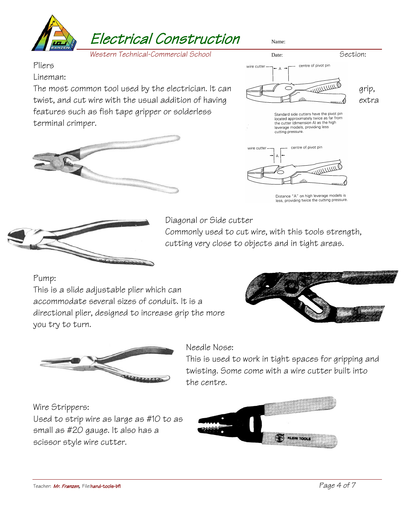

Pliers

#### Lineman:

The most common tool used by the electrician. It can  $\sqrt{2}$ twist, and cut wire with the usual addition of having  $\Box$ features such as fish tape gripper or solderless terminal crimper.







Distance "A" on high leverage models is less, providing twice the cutting pressure.



Diagonal or Side cutter

Commonly used to cut wire, with this tools strength, cutting very close to objects and in tight areas.

Pump:

This is a slide adjustable plier which can accommodate several sizes of conduit. It is a directional plier, designed to increase grip the more you try to turn.





## Needle Nose:

This is used to work in tight spaces for gripping and twisting. Some come with a wire cutter built into the centre.

### Wire Strippers:

Used to strip wire as large as #10 to as small as #20 gauge. It also has a scissor style wire cutter.

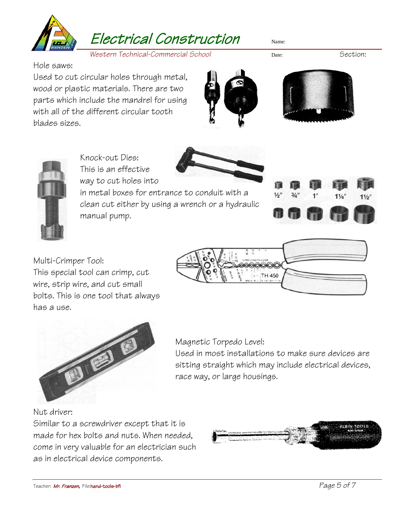

*Western Technical-Commercial School* Date: Section:

Hole saws:

Used to cut circular holes through metal, wood or plastic materials. There are two parts which include the mandrel for using with all of the different circular tooth blades sizes.







Knock-out Dies: This is an effective way to cut holes into

in metal boxes for entrance to conduit with a clean cut either by using a wrench or a hydraulic manual pump.



Multi-Crimper Tool: This special tool can crimp, cut wire, strip wire, and cut small bolts. This is one tool that always has a use.





Magnetic Torpedo Level:

Used in most installations to make sure devices are sitting straight which may include electrical devices, race way, or large housings.

### Nut driver:

Similar to a screwdriver except that it is made for hex bolts and nuts. When needed, come in very valuable for an electrician such as in electrical device components.

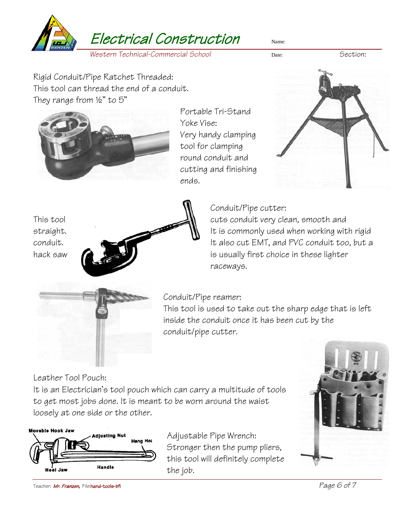

Rigid Conduit/Pipe Ratchet Threaded: This tool can thread the end of a conduit. They range from ½" to 5"



Portable Tri-Stand Yoke Vise: Very handy clamping tool for clamping round conduit and cutting and finishing ends.



Conduit/Pipe cutter:



This tool **cuts** cuts conduit very clean, smooth and straight.  $\blacksquare$  It is commonly used when working with rigid conduit. It also cut EMT, and PVC conduit too, but a hack saw  $\left[\begin{array}{ccc} 1 & 1 \\ 1 & 1 \end{array}\right]$  is usually first choice in these lighter raceways.



Conduit/Pipe reamer:

This tool is used to take out the sharp edge that is left inside the conduit once it has been cut by the conduit/pipe cutter.

Leather Tool Pouch:

It is an Electrician's tool pouch which can carry a multitude of tools to get most jobs done. It is meant to be worn around the waist loosely at one side or the other.



Adjustable Pipe Wrench: Stronger then the pump pliers, this tool will definitely complete the job.



Teacher: Mr. Franzen*,* File:hand-tools-bfi *Page 6 of 7*